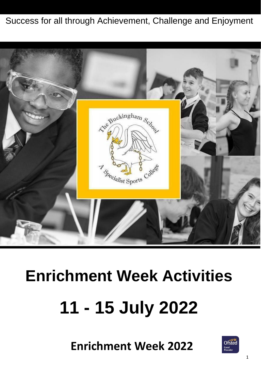#### Success for all through Achievement, Challenge and Enjoyment



# **Enrichment Week Activities 11 - 15 July 2022**

**Enrichment Week 2022**

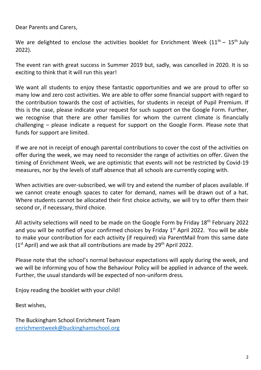Dear Parents and Carers,

We are delighted to enclose the activities booklet for Enrichment Week  $(11^{th} - 15^{th}$  July 2022).

The event ran with great success in Summer 2019 but, sadly, was cancelled in 2020. It is so exciting to think that it will run this year!

We want all students to enjoy these fantastic opportunities and we are proud to offer so many low and zero cost activities. We are able to offer some financial support with regard to the contribution towards the cost of activities, for students in receipt of Pupil Premium. If this is the case, please indicate your request for such support on the Google Form. Further, we recognise that there are other families for whom the current climate is financially challenging – please indicate a request for support on the Google Form. Please note that funds for support are limited.

If we are not in receipt of enough parental contributions to cover the cost of the activities on offer during the week, we may need to reconsider the range of activities on offer. Given the timing of Enrichment Week, we are optimistic that events will not be restricted by Covid-19 measures, nor by the levels of staff absence that all schools are currently coping with.

When activities are over-subscribed, we will try and extend the number of places available. If we cannot create enough spaces to cater for demand, names will be drawn out of a hat. Where students cannot be allocated their first choice activity, we will try to offer them their second or, if necessary, third choice.

All activity selections will need to be made on the Google Form by Friday 18<sup>th</sup> February 2022 and you will be notified of your confirmed choices by Friday 1<sup>st</sup> April 2022. You will be able to make your contribution for each activity (if required) via ParentMail from this same date  $(1<sup>st</sup>$  April) and we ask that all contributions are made by 29<sup>th</sup> April 2022.

Please note that the school's normal behaviour expectations will apply during the week, and we will be informing you of how the Behaviour Policy will be applied in advance of the week. Further, the usual standards will be expected of non-uniform dress.

Enjoy reading the booklet with your child!

Best wishes,

The Buckingham School Enrichment Team [enrichmentweek@buckinghamschool.org](mailto:enrichmentweek@buckinghamschool.org)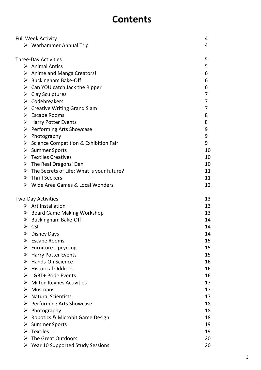#### **Contents**

|   | <b>Full Week Activity</b>                                  | 4        |
|---|------------------------------------------------------------|----------|
|   | $\triangleright$ Warhammer Annual Trip                     | 4        |
|   |                                                            |          |
|   | <b>Three-Day Activities</b>                                | 5        |
|   | $\triangleright$ Animal Antics                             | 5        |
|   | $\triangleright$ Anime and Manga Creators!                 | 6        |
|   | $\triangleright$ Buckingham Bake-Off                       | 6        |
|   | $\triangleright$ Can YOU catch Jack the Ripper             | 6        |
|   | $\triangleright$ Clay Sculptures                           | 7        |
|   | $\triangleright$ Codebreakers                              | 7        |
|   | $\triangleright$ Creative Writing Grand Slam               | 7        |
|   | $\triangleright$ Escape Rooms                              | 8        |
|   | $\triangleright$ Harry Potter Events                       | 8        |
|   | > Performing Arts Showcase                                 | 9        |
|   | $\triangleright$ Photography                               | 9        |
|   | $\triangleright$ Science Competition & Exhibition Fair     | 9        |
|   | > Summer Sports                                            | 10       |
|   | $\triangleright$ Textiles Creatives                        | 10       |
|   | $\triangleright$ The Real Dragons' Den                     | 10       |
|   | $\triangleright$ The Secrets of Life: What is your future? | 11       |
|   | $\triangleright$ Thrill Seekers                            | 11       |
|   | $\triangleright$ Wide Area Games & Local Wonders           | 12       |
|   |                                                            |          |
|   |                                                            |          |
|   | <b>Two-Day Activities</b>                                  | 13       |
|   | $\triangleright$ Art Installation                          | 13       |
|   | $\triangleright$ Board Game Making Workshop                | 13       |
|   | $\triangleright$ Buckingham Bake-Off                       | 14       |
|   | $\triangleright$ CSI                                       | 14       |
|   | $\triangleright$ Disney Days                               | 14       |
|   | $\triangleright$ Escape Rooms                              | 15       |
|   | $\triangleright$ Furniture Upcycling                       | 15       |
|   | $\triangleright$ Harry Potter Events                       | 15       |
|   | $\triangleright$ Hands-On Science                          | 16       |
|   | $\triangleright$ Historical Oddities                       | 16       |
|   | > LGBT+ Pride Events                                       | 16       |
| ➤ | <b>Milton Keynes Activities</b>                            | 17       |
|   | $\triangleright$ Musicians                                 | 17       |
|   | $\triangleright$ Natural Scientists                        | 17       |
|   | $\triangleright$ Performing Arts Showcase                  | 18       |
|   | $\triangleright$ Photography                               | 18       |
| ➤ | ▶ Robotics & Microbit Game Design                          | 18       |
|   | <b>Summer Sports</b>                                       | 19       |
| ➤ | $\triangleright$ Textiles<br>The Great Outdoors            | 19<br>20 |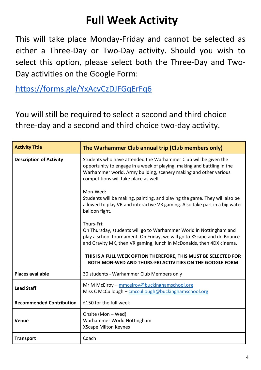#### **Full Week Activity**

This will take place Monday-Friday and cannot be selected as either a Three-Day or Two-Day activity. Should you wish to select this option, please select both the Three-Day and Two-Day activities on the Google Form:

<https://forms.gle/YxAcvCzDJFGqErFq6>

You will still be required to select a second and third choice three-day and a second and third choice two-day activity.

| <b>Activity Title</b>           | The Warhammer Club annual trip (Club members only)                                                                                                                                                                                                                                                                                                                 |
|---------------------------------|--------------------------------------------------------------------------------------------------------------------------------------------------------------------------------------------------------------------------------------------------------------------------------------------------------------------------------------------------------------------|
| <b>Description of Activity</b>  | Students who have attended the Warhammer Club will be given the<br>opportunity to engage in a week of playing, making and battling in the<br>Warhammer world. Army building, scenery making and other various<br>competitions will take place as well.                                                                                                             |
|                                 | Mon-Wed:<br>Students will be making, painting, and playing the game. They will also be<br>allowed to play VR and interactive VR gaming. Also take part in a big water<br>balloon fight.                                                                                                                                                                            |
|                                 | Thurs-Fri:<br>On Thursday, students will go to Warhammer World in Nottingham and<br>play a school tournament. On Friday, we will go to XScape and do Bounce<br>and Gravity MK, then VR gaming, lunch in McDonalds, then 4DX cinema.<br>THIS IS A FULL WEEK OPTION THEREFORE, THIS MUST BE SELECTED FOR<br>BOTH MON-WED AND THURS-FRI ACTIVITIES ON THE GOOGLE FORM |
| <b>Places available</b>         | 30 students - Warhammer Club Members only                                                                                                                                                                                                                                                                                                                          |
| <b>Lead Staff</b>               | Mr M McElroy - mmcelroy@buckinghamschool.org<br>Miss C McCullough - cmccullough@buckinghamschool.org                                                                                                                                                                                                                                                               |
| <b>Recommended Contribution</b> | £150 for the full week                                                                                                                                                                                                                                                                                                                                             |
| Venue                           | Onsite (Mon - Wed)<br>Warhammer World Nottingham<br><b>XScape Milton Keynes</b>                                                                                                                                                                                                                                                                                    |
| <b>Transport</b>                | Coach                                                                                                                                                                                                                                                                                                                                                              |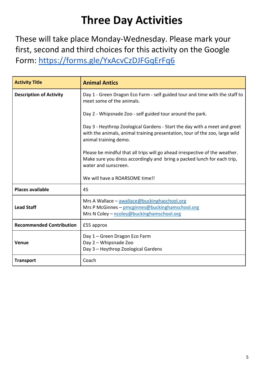### **Three Day Activities**

These will take place Monday-Wednesday. Please mark your first, second and third choices for this activity on the Google Form:<https://forms.gle/YxAcvCzDJFGqErFq6>

| <b>Activity Title</b>           | <b>Animal Antics</b>                                                                                                                                                              |
|---------------------------------|-----------------------------------------------------------------------------------------------------------------------------------------------------------------------------------|
| <b>Description of Activity</b>  | Day 1 - Green Dragon Eco Farm - self guided tour and time with the staff to<br>meet some of the animals.                                                                          |
|                                 | Day 2 - Whipsnade Zoo - self guided tour around the park.                                                                                                                         |
|                                 | Day 3 - Heythrop Zoological Gardens - Start the day with a meet and greet<br>with the animals, animal training presentation, tour of the zoo, large wild<br>animal training demo. |
|                                 | Please be mindful that all trips will go ahead irrespective of the weather.<br>Make sure you dress accordingly and bring a packed lunch for each trip,<br>water and sunscreen.    |
|                                 | We will have a ROARSOME time!!                                                                                                                                                    |
| <b>Places available</b>         | 45                                                                                                                                                                                |
| <b>Lead Staff</b>               | Mrs A Wallace - awallace@buckinghaschool.org<br>Mrs P McGinnes - pmcginnes@buckinghamschool.org<br>Mrs N Coley - ncoley@buckinghamschool.org                                      |
| <b>Recommended Contribution</b> | £55 approx                                                                                                                                                                        |
| Venue                           | Day 1 - Green Dragon Eco Farm<br>Day 2 - Whipsnade Zoo<br>Day 3 - Heythrop Zoological Gardens                                                                                     |
| <b>Transport</b>                | Coach                                                                                                                                                                             |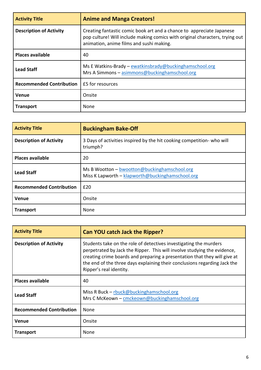| <b>Activity Title</b>           | <b>Anime and Manga Creators!</b>                                                                                                                                                                  |
|---------------------------------|---------------------------------------------------------------------------------------------------------------------------------------------------------------------------------------------------|
| <b>Description of Activity</b>  | Creating fantastic comic book art and a chance to appreciate Japanese<br>pop culture! Will include making comics with original characters, trying out<br>animation, anime films and sushi making. |
| <b>Places available</b>         | 40                                                                                                                                                                                                |
| <b>Lead Staff</b>               | Ms E Watkins-Brady – ewatkinsbrady@buckinghamschool.org<br>Mrs A Simmons - asimmons@buckinghamschool.org                                                                                          |
| <b>Recommended Contribution</b> | £5 for resources                                                                                                                                                                                  |
| Venue                           | Onsite                                                                                                                                                                                            |
| <b>Transport</b>                | None                                                                                                                                                                                              |

| <b>Activity Title</b>           | <b>Buckingham Bake-Off</b>                                                                       |
|---------------------------------|--------------------------------------------------------------------------------------------------|
| <b>Description of Activity</b>  | 3 Days of activities inspired by the hit cooking competition- who will<br>triumph?               |
| <b>Places available</b>         | 20                                                                                               |
| <b>Lead Staff</b>               | Ms B Wootton - bwootton@buckinghamschool.org<br>Miss K Lapworth - klapworth@buckinghamschool.org |
| <b>Recommended Contribution</b> | £20                                                                                              |
| Venue                           | Onsite                                                                                           |
| <b>Transport</b>                | None                                                                                             |

| <b>Activity Title</b>           | <b>Can YOU catch Jack the Ripper?</b>                                                                                                                                                                                                                                                                                              |
|---------------------------------|------------------------------------------------------------------------------------------------------------------------------------------------------------------------------------------------------------------------------------------------------------------------------------------------------------------------------------|
| <b>Description of Activity</b>  | Students take on the role of detectives investigating the murders<br>perpetrated by Jack the Ripper. This will involve studying the evidence,<br>creating crime boards and preparing a presentation that they will give at<br>the end of the three days explaining their conclusions regarding Jack the<br>Ripper's real identity. |
| <b>Places available</b>         | 40                                                                                                                                                                                                                                                                                                                                 |
| <b>Lead Staff</b>               | Miss R Buck – $r$ buck@buckinghamschool.org<br>Mrs C McKeown - cmckeown@buckinghamschool.org                                                                                                                                                                                                                                       |
| <b>Recommended Contribution</b> | None                                                                                                                                                                                                                                                                                                                               |
| Venue                           | Onsite                                                                                                                                                                                                                                                                                                                             |
| <b>Transport</b>                | None                                                                                                                                                                                                                                                                                                                               |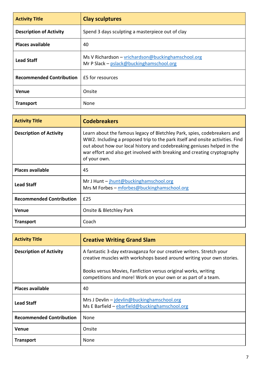| <b>Activity Title</b>           | <b>Clay sculptures</b>                                                                         |
|---------------------------------|------------------------------------------------------------------------------------------------|
| <b>Description of Activity</b>  | Spend 3 days sculpting a masterpiece out of clay                                               |
| <b>Places available</b>         | 40                                                                                             |
| <b>Lead Staff</b>               | Ms V Richardson - vrichardson@buckinghamschool.org<br>Mr P Slack - pslack@buckinghamschool.org |
| <b>Recommended Contribution</b> | £5 for resources                                                                               |
| Venue                           | Onsite                                                                                         |
| <b>Transport</b>                | None                                                                                           |

| <b>Activity Title</b>           | <b>Codebreakers</b>                                                                                                                                                                                                                                                                                                              |
|---------------------------------|----------------------------------------------------------------------------------------------------------------------------------------------------------------------------------------------------------------------------------------------------------------------------------------------------------------------------------|
| <b>Description of Activity</b>  | Learn about the famous legacy of Bletchley Park, spies, codebreakers and<br>WW2. Including a proposed trip to the park itself and onsite activities. Find<br>out about how our local history and codebreaking geniuses helped in the<br>war effort and also get involved with breaking and creating cryptography<br>of your own. |
| <b>Places available</b>         | 45                                                                                                                                                                                                                                                                                                                               |
| <b>Lead Staff</b>               | Mr J Hunt $-$ jhunt@buckinghamschool.org<br>Mrs M Forbes - mforbes@buckinghamschool.org                                                                                                                                                                                                                                          |
| <b>Recommended Contribution</b> | £25                                                                                                                                                                                                                                                                                                                              |
| <b>Venue</b>                    | Onsite & Bletchley Park                                                                                                                                                                                                                                                                                                          |
| <b>Transport</b>                | Coach                                                                                                                                                                                                                                                                                                                            |

| <b>Activity Title</b>           | <b>Creative Writing Grand Slam</b>                                                                                                              |
|---------------------------------|-------------------------------------------------------------------------------------------------------------------------------------------------|
| <b>Description of Activity</b>  | A fantastic 3-day extravaganza for our creative writers. Stretch your<br>creative muscles with workshops based around writing your own stories. |
|                                 | Books versus Movies, Fanfiction versus original works, writing<br>competitions and more! Work on your own or as part of a team.                 |
| <b>Places available</b>         | 40                                                                                                                                              |
| <b>Lead Staff</b>               | Mrs J Devlin - jdevlin@buckinghamschool.org<br>Ms E Barfield - ebarfield@buckinghamschool.org                                                   |
| <b>Recommended Contribution</b> | None                                                                                                                                            |
| Venue                           | Onsite                                                                                                                                          |
| <b>Transport</b>                | None                                                                                                                                            |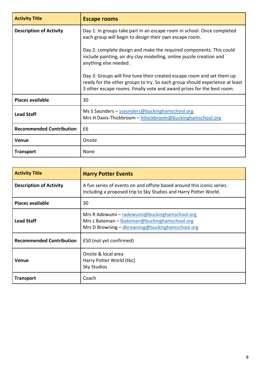| <b>Activity Title</b>           | <b>Escape rooms</b>                                                                                                                                                                                                             |
|---------------------------------|---------------------------------------------------------------------------------------------------------------------------------------------------------------------------------------------------------------------------------|
| <b>Description of Activity</b>  | Day 1: In groups take part in an escape room in school. Once completed<br>each group will begin to design their own escape room.                                                                                                |
|                                 | Day 2: complete design and make the required components. This could<br>include painting, air dry clay modelling, online puzzle creation and<br>anything else needed.                                                            |
|                                 | Day 3: Groups will fine tune their created escape room and set them up<br>ready for the other groups to try. So each group should experience at least<br>3 other escape rooms. Finally vote and award prizes for the best room. |
| <b>Places available</b>         | 30                                                                                                                                                                                                                              |
| <b>Lead Staff</b>               | Ms S Saunders - ssaunders@buckinghamschool.org<br>Mrs H Davis-Thickbroom - hthickbroom@buckinghamschool.org                                                                                                                     |
| <b>Recommended Contribution</b> | £6                                                                                                                                                                                                                              |
| <b>Venue</b>                    | Onsite                                                                                                                                                                                                                          |
| <b>Transport</b>                | None                                                                                                                                                                                                                            |

| <b>Activity Title</b>           | <b>Harry Potter Events</b>                                                                                                                        |
|---------------------------------|---------------------------------------------------------------------------------------------------------------------------------------------------|
| <b>Description of Activity</b>  | A fun series of events on and offsite based around this iconic series.<br>Including a proposed trip to Sky Studios and Harry Potter World.        |
| <b>Places available</b>         | 30                                                                                                                                                |
| <b>Lead Staff</b>               | Mrs R Adewumi - radewumi@buckinghamschool.org<br>Mrs L Bateman - lbateman@buckinghamschool.org<br>Mrs D Browning - dbrowning@buckinghamschool.org |
| <b>Recommended Contribution</b> | £50 (not yet confirmed)                                                                                                                           |
| Venue                           | Onsite & local area<br>Harry Potter World (tbc)<br><b>Sky Studios</b>                                                                             |
| <b>Transport</b>                | Coach                                                                                                                                             |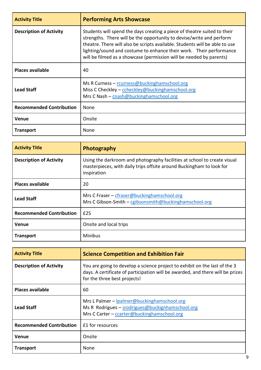| <b>Activity Title</b>           | <b>Performing Arts Showcase</b>                                                                                                                                                                                                                                                                                                                                               |
|---------------------------------|-------------------------------------------------------------------------------------------------------------------------------------------------------------------------------------------------------------------------------------------------------------------------------------------------------------------------------------------------------------------------------|
| <b>Description of Activity</b>  | Students will spend the days creating a piece of theatre suited to their<br>strengths. There will be the opportunity to devise/write and perform<br>theatre. There will also be scripts available. Students will be able to use<br>lighting/sound and costume to enhance their work. Their performance<br>will be filmed as a showcase (permission will be needed by parents) |
| <b>Places available</b>         | 40                                                                                                                                                                                                                                                                                                                                                                            |
| <b>Lead Staff</b>               | Ms R Curness - rcurness@buckinghamschool.org<br>Miss C Checkley - ccheckley@buckinghamschool.org<br>Mrs C Nash - cnash@buckinghamschool.org                                                                                                                                                                                                                                   |
| <b>Recommended Contribution</b> | None                                                                                                                                                                                                                                                                                                                                                                          |
| <b>Venue</b>                    | Onsite                                                                                                                                                                                                                                                                                                                                                                        |
| <b>Transport</b>                | None                                                                                                                                                                                                                                                                                                                                                                          |

| <b>Activity Title</b>           | Photography                                                                                                                                                     |
|---------------------------------|-----------------------------------------------------------------------------------------------------------------------------------------------------------------|
| <b>Description of Activity</b>  | Using the darkroom and photography facilities at school to create visual<br>masterpieces, with daily trips offsite around Buckingham to look for<br>inspiration |
| <b>Places available</b>         | 20                                                                                                                                                              |
| <b>Lead Staff</b>               | Mrs C Fraser - cfraser@buckinghamschool.org<br>Mrs C Gibson-Smith – cgibsonsmith@buckinghamschool.org                                                           |
| <b>Recommended Contribution</b> | £25                                                                                                                                                             |
| <b>Venue</b>                    | Onsite and local trips                                                                                                                                          |
| <b>Transport</b>                | <b>Minibus</b>                                                                                                                                                  |

| <b>Activity Title</b>           | <b>Science Competition and Exhibition Fair</b>                                                                                                                                               |
|---------------------------------|----------------------------------------------------------------------------------------------------------------------------------------------------------------------------------------------|
| <b>Description of Activity</b>  | You are going to develop a science project to exhibit on the last of the 3<br>days. A certificate of participation will be awarded, and there will be prizes<br>for the three best projects! |
| <b>Places available</b>         | 60                                                                                                                                                                                           |
| <b>Lead Staff</b>               | Mrs L Palmer - lpalmer@buckinghamschool.org<br>Ms R Rodrigues - srodrigues@buckignhamschool.org<br>Mrs C Carter - ccarter@buckinghamschool.org                                               |
| <b>Recommended Contribution</b> | £1 for resources                                                                                                                                                                             |
| <b>Venue</b>                    | Onsite                                                                                                                                                                                       |
| <b>Transport</b>                | None                                                                                                                                                                                         |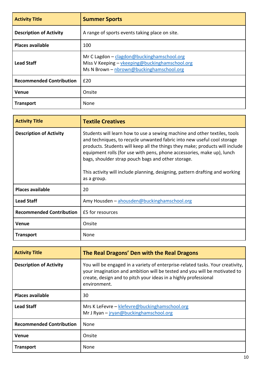| <b>Activity Title</b>           | <b>Summer Sports</b>                                                                                                                     |
|---------------------------------|------------------------------------------------------------------------------------------------------------------------------------------|
| <b>Description of Activity</b>  | A range of sports events taking place on site.                                                                                           |
| <b>Places available</b>         | 100                                                                                                                                      |
| <b>Lead Staff</b>               | Mr C Lagdon - clagdon@buckinghamschool.org<br>Miss V Keeping - vkeeping@buckinghamschool.org<br>Ms N Brown - nbrown@buckinghamschool.org |
| <b>Recommended Contribution</b> | £20                                                                                                                                      |
| <b>Venue</b>                    | Onsite                                                                                                                                   |
| <b>Transport</b>                | None                                                                                                                                     |

| <b>Activity Title</b>           | <b>Textile Creatives</b>                                                                                                                                                                                                                                                                                                                                                                                                                                            |
|---------------------------------|---------------------------------------------------------------------------------------------------------------------------------------------------------------------------------------------------------------------------------------------------------------------------------------------------------------------------------------------------------------------------------------------------------------------------------------------------------------------|
| <b>Description of Activity</b>  | Students will learn how to use a sewing machine and other textiles, tools<br>and techniques, to recycle unwanted fabric into new useful cool storage<br>products. Students will keep all the things they make; products will include<br>equipment rolls (for use with pens, phone accessories, make up), lunch<br>bags, shoulder strap pouch bags and other storage.<br>This activity will include planning, designing, pattern drafting and working<br>as a group. |
| <b>Places available</b>         | 20                                                                                                                                                                                                                                                                                                                                                                                                                                                                  |
| <b>Lead Staff</b>               | Amy Housden - ahousden@buckinghamschool.org                                                                                                                                                                                                                                                                                                                                                                                                                         |
| <b>Recommended Contribution</b> | £5 for resources                                                                                                                                                                                                                                                                                                                                                                                                                                                    |
| <b>Venue</b>                    | Onsite                                                                                                                                                                                                                                                                                                                                                                                                                                                              |
| <b>Transport</b>                | None                                                                                                                                                                                                                                                                                                                                                                                                                                                                |

| <b>Activity Title</b>           | The Real Dragons' Den with the Real Dragons                                                                                                                                                                                                    |
|---------------------------------|------------------------------------------------------------------------------------------------------------------------------------------------------------------------------------------------------------------------------------------------|
| <b>Description of Activity</b>  | You will be engaged in a variety of enterprise-related tasks. Your creativity,<br>your imagination and ambition will be tested and you will be motivated to<br>create, design and to pitch your ideas in a highly professional<br>environment. |
| <b>Places available</b>         | 30                                                                                                                                                                                                                                             |
| <b>Lead Staff</b>               | Mrs K LeFevre - klefevre@buckinghamschool.org<br>Mr J Ryan - jryan@buckinghamschool.org                                                                                                                                                        |
| <b>Recommended Contribution</b> | None                                                                                                                                                                                                                                           |
| <b>Venue</b>                    | Onsite                                                                                                                                                                                                                                         |
| <b>Transport</b>                | None                                                                                                                                                                                                                                           |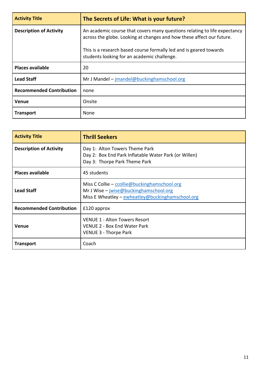| <b>Activity Title</b>           | The Secrets of Life: What is your future?                                                                                                          |
|---------------------------------|----------------------------------------------------------------------------------------------------------------------------------------------------|
| <b>Description of Activity</b>  | An academic course that covers many questions relating to life expectancy<br>across the globe. Looking at changes and how these affect our future. |
|                                 | This is a research based course formally led and is geared towards<br>students looking for an academic challenge.                                  |
| <b>Places available</b>         | 20                                                                                                                                                 |
| <b>Lead Staff</b>               | Mr J Mandel - jmandel@buckinghamschool.org                                                                                                         |
| <b>Recommended Contribution</b> | none                                                                                                                                               |
| <b>Venue</b>                    | Onsite                                                                                                                                             |
| <b>Transport</b>                | None                                                                                                                                               |

| <b>Activity Title</b>           | <b>Thrill Seekers</b>                                                                                                                        |
|---------------------------------|----------------------------------------------------------------------------------------------------------------------------------------------|
| <b>Description of Activity</b>  | Day 1: Alton Towers Theme Park<br>Day 2: Box End Park Inflatable Water Park (or Willen)<br>Day 3: Thorpe Park Theme Park                     |
| <b>Places available</b>         | 45 students                                                                                                                                  |
| <b>Lead Staff</b>               | Miss C Collie – ccollie@buckinghamschool.org<br>Mr J Wise $-$ jwise@buckinghamschool.org<br>Miss E Wheatley - ewheatley@buckinghamschool.org |
| <b>Recommended Contribution</b> | £120 approx                                                                                                                                  |
| <b>Venue</b>                    | <b>VENUE 1 - Alton Towers Resort</b><br><b>VENUE 2 - Box End Water Park</b><br>VENUE 3 - Thorpe Park                                         |
| <b>Transport</b>                | Coach                                                                                                                                        |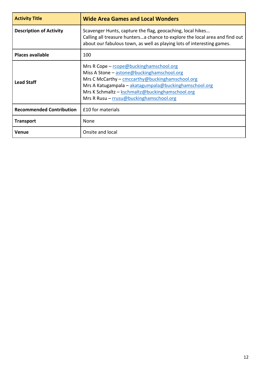| <b>Activity Title</b>           | <b>Wide Area Games and Local Wonders</b>                                                                                                                                                                                                                                                        |
|---------------------------------|-------------------------------------------------------------------------------------------------------------------------------------------------------------------------------------------------------------------------------------------------------------------------------------------------|
| <b>Description of Activity</b>  | Scavenger Hunts, capture the flag, geocaching, local hikes<br>Calling all treasure huntersa chance to explore the local area and find out<br>about our fabulous town, as well as playing lots of interesting games.                                                                             |
| <b>Places available</b>         | 100                                                                                                                                                                                                                                                                                             |
| <b>Lead Staff</b>               | Mrs R Cope - rcope@buckinghamschool.org<br>Miss A Stone - astone@buckinghamschool.org<br>Mrs C McCarthy - cmccarthy@buckinghamschool.org<br>Mrs A Katugampala - akatagumpala@buckinghamschool.org<br>Mrs K Schmaltz - kschmaltz@buckinghamschool.org<br>Mrs R Rusu - rrusu@buckinghamschool.org |
| <b>Recommended Contribution</b> | £10 for materials                                                                                                                                                                                                                                                                               |
| <b>Transport</b>                | None                                                                                                                                                                                                                                                                                            |
| Venue                           | Onsite and local                                                                                                                                                                                                                                                                                |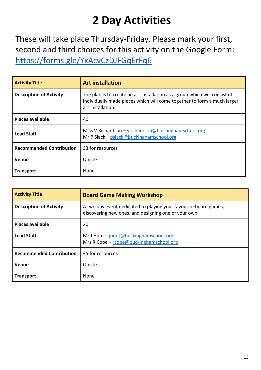## **2 Day Activities**

These will take place Thursday-Friday. Please mark your first, second and third choices for this activity on the Google Form: <https://forms.gle/YxAcvCzDJFGqErFq6>

| <b>Activity Title</b>           | <b>Art installation</b>                                                                                                                                                    |
|---------------------------------|----------------------------------------------------------------------------------------------------------------------------------------------------------------------------|
| <b>Description of Activity</b>  | The plan is to create an art installation as a group which will consist of<br>individually made pieces which will come together to form a much larger<br>art installation. |
| <b>Places available</b>         | 40                                                                                                                                                                         |
| <b>Lead Staff</b>               | Miss V Richardson - vrichardson@buckinghamschool.org<br>Mr P Slack - pslack@buckinghamschool.org                                                                           |
| <b>Recommended Contribution</b> | £3 for resources                                                                                                                                                           |
| <b>Venue</b>                    | Onsite                                                                                                                                                                     |
| <b>Transport</b>                | None                                                                                                                                                                       |

| <b>Activity Title</b>           | <b>Board Game Making Workshop</b>                                                                                        |
|---------------------------------|--------------------------------------------------------------------------------------------------------------------------|
| <b>Description of Activity</b>  | A two day event dedicated to playing your favourite board games,<br>discovering new ones, and designing one of your own. |
| <b>Places available</b>         | 20                                                                                                                       |
| <b>Lead Staff</b>               | Mr J Hunt - jhunt@buckinghamschool.org<br>Mrs R Cope - rcope@buckinghamschool.org                                        |
| <b>Recommended Contribution</b> | £5 for resources                                                                                                         |
| <b>Venue</b>                    | Onsite                                                                                                                   |
| <b>Transport</b>                | None                                                                                                                     |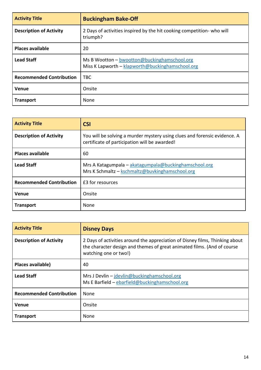| <b>Activity Title</b>           | <b>Buckingham Bake-Off</b>                                                                       |
|---------------------------------|--------------------------------------------------------------------------------------------------|
| <b>Description of Activity</b>  | 2 Days of activities inspired by the hit cooking competition- who will<br>triumph?               |
| <b>Places available</b>         | 20                                                                                               |
| <b>Lead Staff</b>               | Ms B Wootton - bwootton@buckinghamschool.org<br>Miss K Lapworth - klapworth@buckinghamschool.org |
| <b>Recommended Contribution</b> | <b>TBC</b>                                                                                       |
| <b>Venue</b>                    | Onsite                                                                                           |
| <b>Transport</b>                | None                                                                                             |

| <b>Activity Title</b>           | <b>CSI</b>                                                                                                                 |
|---------------------------------|----------------------------------------------------------------------------------------------------------------------------|
| <b>Description of Activity</b>  | You will be solving a murder mystery using clues and forensic evidence. A<br>certificate of participation will be awarded! |
| <b>Places available</b>         | 60                                                                                                                         |
| <b>Lead Staff</b>               | Mrs A Katagumpala - akatagumpala@buckinghamschool.org<br>Mrs K Schmaltz - kschmaltz@buvkinghamschool.org                   |
| <b>Recommended Contribution</b> | £3 for resources                                                                                                           |
| <b>Venue</b>                    | Onsite                                                                                                                     |
| <b>Transport</b>                | None                                                                                                                       |

| <b>Activity Title</b>           | <b>Disney Days</b>                                                                                                                                                               |
|---------------------------------|----------------------------------------------------------------------------------------------------------------------------------------------------------------------------------|
| <b>Description of Activity</b>  | 2 Days of activities around the appreciation of Disney films, Thinking about<br>the character design and themes of great animated films. (And of course<br>watching one or two!) |
| Places available)               | 40                                                                                                                                                                               |
| <b>Lead Staff</b>               | Mrs J Devlin - jdevlin@buckinghamschool.org<br>Ms E Barfield - ebarfield@buckinghamschool.org                                                                                    |
| <b>Recommended Contribution</b> | None                                                                                                                                                                             |
| <b>Venue</b>                    | Onsite                                                                                                                                                                           |
| <b>Transport</b>                | None                                                                                                                                                                             |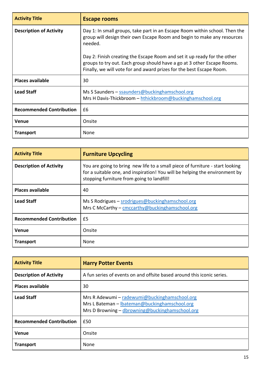| <b>Activity Title</b>           | <b>Escape rooms</b>                                                                                                                                                                                                         |
|---------------------------------|-----------------------------------------------------------------------------------------------------------------------------------------------------------------------------------------------------------------------------|
| <b>Description of Activity</b>  | Day 1: In small groups, take part in an Escape Room within school. Then the<br>group will design their own Escape Room and begin to make any resources<br>needed.                                                           |
|                                 | Day 2: Finish creating the Escape Room and set it up ready for the other<br>groups to try out. Each group should have a go at 3 other Escape Rooms.<br>Finally, we will vote for and award prizes for the best Escape Room. |
| <b>Places available</b>         | 30                                                                                                                                                                                                                          |
| <b>Lead Staff</b>               | Ms S Saunders - ssaunders@buckinghamschool.org<br>Mrs H Davis-Thickbroom – hthickbroom@buckinghamschool.org                                                                                                                 |
| <b>Recommended Contribution</b> | £6                                                                                                                                                                                                                          |
| <b>Venue</b>                    | Onsite                                                                                                                                                                                                                      |
| <b>Transport</b>                | None                                                                                                                                                                                                                        |

| <b>Activity Title</b>           | <b>Furniture Upcycling</b>                                                                                                                                                                                 |
|---------------------------------|------------------------------------------------------------------------------------------------------------------------------------------------------------------------------------------------------------|
| <b>Description of Activity</b>  | You are going to bring new life to a small piece of furniture - start looking<br>for a suitable one, and inspiration! You will be helping the environment by<br>stopping furniture from going to landfill! |
| <b>Places available</b>         | 40                                                                                                                                                                                                         |
| <b>Lead Staff</b>               | Ms S Rodrigues $-$ srodrigues@buckinghamschool.org<br>Mrs C McCarthy - cmccarthy@buckinghamschool.org                                                                                                      |
| <b>Recommended Contribution</b> | £5                                                                                                                                                                                                         |
| Venue                           | Onsite                                                                                                                                                                                                     |
| <b>Transport</b>                | None                                                                                                                                                                                                       |

| <b>Activity Title</b>           | <b>Harry Potter Events</b>                                                                                                                        |
|---------------------------------|---------------------------------------------------------------------------------------------------------------------------------------------------|
| <b>Description of Activity</b>  | A fun series of events on and offsite based around this iconic series.                                                                            |
| <b>Places available</b>         | 30                                                                                                                                                |
| <b>Lead Staff</b>               | Mrs R Adewumi – radewumi@buckinghamschool.org<br>Mrs L Bateman - lbateman@buckinghamschool.org<br>Mrs D Browning - dbrowning@buckinghamschool.org |
| <b>Recommended Contribution</b> | £50                                                                                                                                               |
| Venue                           | Onsite                                                                                                                                            |
| <b>Transport</b>                | None                                                                                                                                              |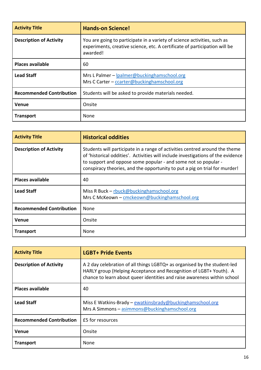| <b>Activity Title</b>           | <b>Hands-on Science!</b>                                                                                                                                           |
|---------------------------------|--------------------------------------------------------------------------------------------------------------------------------------------------------------------|
| <b>Description of Activity</b>  | You are going to participate in a variety of science activities, such as<br>experiments, creative science, etc. A certificate of participation will be<br>awarded! |
| <b>Places available</b>         | 60                                                                                                                                                                 |
| <b>Lead Staff</b>               | Mrs L Palmer - lpalmer@buckinghamschool.org<br>Mrs C Carter - ccarter@buckinghamschool.org                                                                         |
| <b>Recommended Contribution</b> | Students will be asked to provide materials needed.                                                                                                                |
| Venue                           | Onsite                                                                                                                                                             |
| <b>Transport</b>                | None                                                                                                                                                               |

| <b>Activity Title</b>           | <b>Historical oddities</b>                                                                                                                                                                                                                                                                                      |
|---------------------------------|-----------------------------------------------------------------------------------------------------------------------------------------------------------------------------------------------------------------------------------------------------------------------------------------------------------------|
| <b>Description of Activity</b>  | Students will participate in a range of activities centred around the theme<br>of 'historical oddities'. Activities will include investigations of the evidence<br>to support and oppose some popular - and some not so popular -<br>conspiracy theories, and the opportunity to put a pig on trial for murder! |
| <b>Places available</b>         | 40                                                                                                                                                                                                                                                                                                              |
| <b>Lead Staff</b>               | Miss R Buck - rbuck@buckinghamschool.org<br>Mrs C McKeown - cmckeown@buckinghamschool.org                                                                                                                                                                                                                       |
| <b>Recommended Contribution</b> | <b>None</b>                                                                                                                                                                                                                                                                                                     |
| Venue                           | Onsite                                                                                                                                                                                                                                                                                                          |
| <b>Transport</b>                | None                                                                                                                                                                                                                                                                                                            |

| <b>Activity Title</b>           | <b>LGBT+ Pride Events</b>                                                                                                                                                                                                  |
|---------------------------------|----------------------------------------------------------------------------------------------------------------------------------------------------------------------------------------------------------------------------|
| <b>Description of Activity</b>  | A 2 day celebration of all things LGBTQ+ as organised by the student-led<br>HARLY group (Helping Acceptance and Recognition of LGBT+ Youth). A<br>chance to learn about queer identities and raise awareness within school |
| <b>Places available</b>         | 40                                                                                                                                                                                                                         |
| <b>Lead Staff</b>               | Miss E Watkins-Brady - ewatkinsbrady@buckinghamschool.org<br>Mrs A Simmons - asimmons@buckinghamschool.org                                                                                                                 |
| <b>Recommended Contribution</b> | £5 for resources                                                                                                                                                                                                           |
| <b>Venue</b>                    | Onsite                                                                                                                                                                                                                     |
| <b>Transport</b>                | None                                                                                                                                                                                                                       |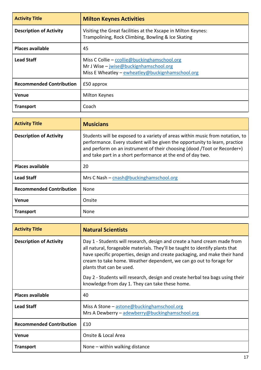| <b>Activity Title</b>           | <b>Milton Keynes Activities</b>                                                                                                              |
|---------------------------------|----------------------------------------------------------------------------------------------------------------------------------------------|
| <b>Description of Activity</b>  | Visiting the Great facilities at the Xscape in Milton Keynes:<br>Trampolining, Rock Climbing, Bowling & Ice Skating                          |
| <b>Places available</b>         | 45                                                                                                                                           |
| <b>Lead Staff</b>               | Miss C Collie – ccollie@buckinghamschool.org<br>Mr J Wise $-$ jwise@buckignhamschool.org<br>Miss E Wheatley - ewheatley@buckignhamschool.org |
| <b>Recommended Contribution</b> | £50 approx                                                                                                                                   |
| Venue                           | <b>Milton Keynes</b>                                                                                                                         |
| <b>Transport</b>                | Coach                                                                                                                                        |

| <b>Activity Title</b>           | <b>Musicians</b>                                                                                                                                                                                                                                                                                        |
|---------------------------------|---------------------------------------------------------------------------------------------------------------------------------------------------------------------------------------------------------------------------------------------------------------------------------------------------------|
| <b>Description of Activity</b>  | Students will be exposed to a variety of areas within music from notation, to<br>performance. Every student will be given the opportunity to learn, practice<br>and perform on an instrument of their choosing (dood /Toot or Recorder+)<br>and take part in a short performance at the end of day two. |
| <b>Places available</b>         | 20                                                                                                                                                                                                                                                                                                      |
| <b>Lead Staff</b>               | Mrs C Nash - cnash@buckinghamschool.org                                                                                                                                                                                                                                                                 |
| <b>Recommended Contribution</b> | None                                                                                                                                                                                                                                                                                                    |
| <b>Venue</b>                    | Onsite                                                                                                                                                                                                                                                                                                  |
| <b>Transport</b>                | None                                                                                                                                                                                                                                                                                                    |

| <b>Activity Title</b>           | <b>Natural Scientists</b>                                                                                                                                                                                                                                                                                                                |
|---------------------------------|------------------------------------------------------------------------------------------------------------------------------------------------------------------------------------------------------------------------------------------------------------------------------------------------------------------------------------------|
| <b>Description of Activity</b>  | Day 1 - Students will research, design and create a hand cream made from<br>all natural, forageable materials. They'll be taught to identify plants that<br>have specific properties, design and create packaging, and make their hand<br>cream to take home. Weather dependent, we can go out to forage for<br>plants that can be used. |
|                                 | Day 2 - Students will research, design and create herbal tea bags using their<br>knowledge from day 1. They can take these home.                                                                                                                                                                                                         |
| <b>Places available</b>         | 40                                                                                                                                                                                                                                                                                                                                       |
| <b>Lead Staff</b>               | Miss A Stone - astone@buckinghamschool.org<br>Mrs A Dewberry - adewberry@buckinghamschool.org                                                                                                                                                                                                                                            |
| <b>Recommended Contribution</b> | £10                                                                                                                                                                                                                                                                                                                                      |
| Venue                           | Onsite & Local Area                                                                                                                                                                                                                                                                                                                      |
| <b>Transport</b>                | None $-$ within walking distance                                                                                                                                                                                                                                                                                                         |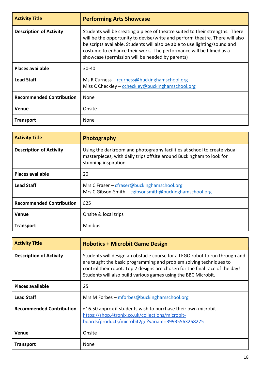| <b>Activity Title</b>           | <b>Performing Arts Showcase</b>                                                                                                                                                                                                                                                                                                                                      |
|---------------------------------|----------------------------------------------------------------------------------------------------------------------------------------------------------------------------------------------------------------------------------------------------------------------------------------------------------------------------------------------------------------------|
| <b>Description of Activity</b>  | Students will be creating a piece of theatre suited to their strengths. There<br>will be the opportunity to devise/write and perform theatre. There will also<br>be scripts available. Students will also be able to use lighting/sound and<br>costume to enhance their work. The performance will be filmed as a<br>showcase (permission will be needed by parents) |
| <b>Places available</b>         | $30 - 40$                                                                                                                                                                                                                                                                                                                                                            |
| <b>Lead Staff</b>               | Ms R Curness - rcurness@buckinghamschool.org<br>Miss C Checkley - ccheckley@buckinghamschool.org                                                                                                                                                                                                                                                                     |
| <b>Recommended Contribution</b> | None                                                                                                                                                                                                                                                                                                                                                                 |
| <b>Venue</b>                    | Onsite                                                                                                                                                                                                                                                                                                                                                               |
| <b>Transport</b>                | None                                                                                                                                                                                                                                                                                                                                                                 |

| <b>Activity Title</b>           | Photography                                                                                                                                                              |
|---------------------------------|--------------------------------------------------------------------------------------------------------------------------------------------------------------------------|
| <b>Description of Activity</b>  | Using the darkroom and photography facilities at school to create visual<br>masterpieces, with daily trips offsite around Buckingham to look for<br>stunning inspiration |
| <b>Places available</b>         | 20                                                                                                                                                                       |
| <b>Lead Staff</b>               | Mrs C Fraser – cfraser@buckinghamschool.org<br>Mrs C Gibson-Smith – cgibsonsmith@buckinghamschool.org                                                                    |
| <b>Recommended Contribution</b> | £25                                                                                                                                                                      |
| <b>Venue</b>                    | Onsite & local trips                                                                                                                                                     |
| <b>Transport</b>                | <b>Minibus</b>                                                                                                                                                           |

| <b>Activity Title</b>           | <b>Robotics + Microbit Game Design</b>                                                                                                                                                                                                                                                              |
|---------------------------------|-----------------------------------------------------------------------------------------------------------------------------------------------------------------------------------------------------------------------------------------------------------------------------------------------------|
| <b>Description of Activity</b>  | Students will design an obstacle course for a LEGO robot to run through and<br>are taught the basic programming and problem solving techniques to<br>control their robot. Top 2 designs are chosen for the final race of the day!<br>Students will also build various games using the BBC Microbit. |
| <b>Places available</b>         | 25                                                                                                                                                                                                                                                                                                  |
| <b>Lead Staff</b>               | Mrs M Forbes - mforbes@buckinghamschool.org                                                                                                                                                                                                                                                         |
| <b>Recommended Contribution</b> | £16.50 approx if students wish to purchase their own microbit<br>https://shop.4tronix.co.uk/collections/microbit-<br>boards/products/microbit2go?variant=39935563268275                                                                                                                             |
| <b>Venue</b>                    | Onsite                                                                                                                                                                                                                                                                                              |
| <b>Transport</b>                | None                                                                                                                                                                                                                                                                                                |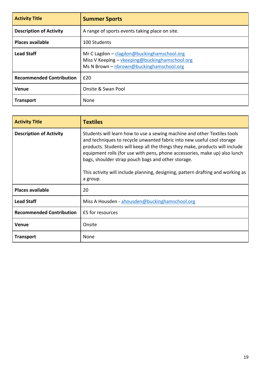| <b>Activity Title</b>           | <b>Summer Sports</b>                                                                                                                     |
|---------------------------------|------------------------------------------------------------------------------------------------------------------------------------------|
| <b>Description of Activity</b>  | A range of sports events taking place on site.                                                                                           |
| <b>Places available</b>         | 100 Students                                                                                                                             |
| <b>Lead Staff</b>               | Mr C Lagdon - clagdon@buckinghamschool.org<br>Miss V Keeping - vkeeping@buckinghamschool.org<br>Ms N Brown - nbrown@buckinghamschool.org |
| <b>Recommended Contribution</b> | £20                                                                                                                                      |
| Venue                           | Onsite & Swan Pool                                                                                                                       |
| <b>Transport</b>                | None                                                                                                                                     |

| <b>Activity Title</b>           | <b>Textiles</b>                                                                                                                                                                                                                                                                                                                                                                                                                                                       |
|---------------------------------|-----------------------------------------------------------------------------------------------------------------------------------------------------------------------------------------------------------------------------------------------------------------------------------------------------------------------------------------------------------------------------------------------------------------------------------------------------------------------|
| <b>Description of Activity</b>  | Students will learn how to use a sewing machine and other Textiles tools<br>and techniques to recycle unwanted fabric into new useful cool storage<br>products. Students will keep all the things they make, products will include<br>equipment rolls (for use with pens, phone accessories, make up) also lunch<br>bags, shoulder strap pouch bags and other storage.<br>This activity will include planning, designing, pattern drafting and working as<br>a group. |
| <b>Places available</b>         | 20                                                                                                                                                                                                                                                                                                                                                                                                                                                                    |
| <b>Lead Staff</b>               | Miss A Housden - ahousden@buckinghamschool.org                                                                                                                                                                                                                                                                                                                                                                                                                        |
| <b>Recommended Contribution</b> | £5 for resources                                                                                                                                                                                                                                                                                                                                                                                                                                                      |
| <b>Venue</b>                    | Onsite                                                                                                                                                                                                                                                                                                                                                                                                                                                                |
| <b>Transport</b>                | None                                                                                                                                                                                                                                                                                                                                                                                                                                                                  |